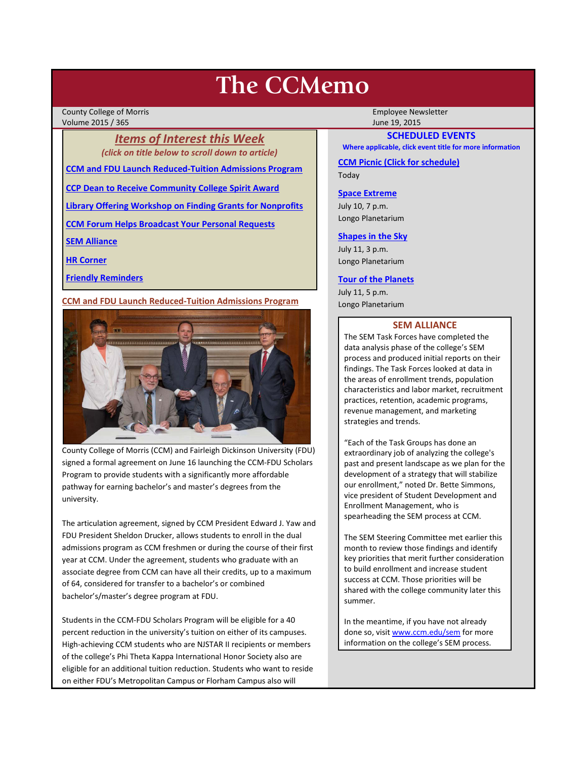# **The CCMemo**

County College of Morris **Employee Newsletter** Employee Newsletter Employee Newsletter Volume 2015 / 365 June 19, 2015

> *Items of Interest this Week (click on title below to scroll down to article)*

**[CCM and FDU Launch Reduced-Tuition Admissions Program](#page-0-0)**

**[CCP Dean to Receive Community College Spirit Award](#page-1-0)**

**[Library Offering Workshop on Finding Grants for Nonprofits](#page-1-1)**

**[CCM Forum Helps Broadcast Your Personal Requests](#page-1-2)**

**[SEM Alliance](#page-0-1)**

**[HR Corner](#page-1-3)**

**[Friendly Reminders](#page-1-4)**

<span id="page-0-0"></span>**CCM and FDU Launch Reduced-Tuition Admissions Program**



County College of Morris (CCM) and Fairleigh Dickinson University (FDU) signed a formal agreement on June 16 launching the CCM-FDU Scholars Program to provide students with a significantly more affordable pathway for earning bachelor's and master's degrees from the university.

The articulation agreement, signed by CCM President Edward J. Yaw and FDU President Sheldon Drucker, allows students to enroll in the dual admissions program as CCM freshmen or during the course of their first year at CCM. Under the agreement, students who graduate with an associate degree from CCM can have all their credits, up to a maximum of 64, considered for transfer to a bachelor's or combined bachelor's/master's degree program at FDU.

Students in the CCM-FDU Scholars Program will be eligible for a 40 percent reduction in the university's tuition on either of its campuses. High-achieving CCM students who are NJSTAR II recipients or members of the college's Phi Theta Kappa International Honor Society also are eligible for an additional tuition reduction. Students who want to reside on either FDU's Metropolitan Campus or Florham Campus also will

# **SCHEDULED EVENTS**

**Where applicable, click event title for more information**

**[CCM Picnic \(Click for schedule\)](http://www3.ccm.edu/ccmemo/images/2015_CCM_Picnic.pdf)** Today

## **[Space Extreme](http://www.ccm.edu/newsEvents/eventDetails.aspx?Channel=/Channels/Sitewide&WorkflowItemID=1874a4b0-0bcb-4ed1-a29e-7b4f8d25e45d)**

July 10, 7 p.m. Longo Planetarium

#### **[Shapes in the Sky](http://www.ccm.edu/newsEvents/eventDetails.aspx?Channel=/Channels/Sitewide&WorkflowItemID=1922c928-86d3-4e75-b6a2-fd618033989c)**

July 11, 3 p.m. Longo Planetarium

#### **[Tour of the Planets](http://www.ccm.edu/newsEvents/eventDetails.aspx?Channel=/Channels/Sitewide&WorkflowItemID=5834aa20-68ba-4fa2-a3ac-75b2311ba441)**

July 11, 5 p.m. Longo Planetarium

#### **SEM ALLIANCE**

<span id="page-0-1"></span>The SEM Task Forces have completed the data analysis phase of the college's SEM process and produced initial reports on their findings. The Task Forces looked at data in the areas of enrollment trends, population characteristics and labor market, recruitment practices, retention, academic programs, revenue management, and marketing strategies and trends.

"Each of the Task Groups has done an extraordinary job of analyzing the college's past and present landscape as we plan for the development of a strategy that will stabilize our enrollment," noted Dr. Bette Simmons, vice president of Student Development and Enrollment Management, who is spearheading the SEM process at CCM.

The SEM Steering Committee met earlier this month to review those findings and identify key priorities that merit further consideration to build enrollment and increase student success at CCM. Those priorities will be shared with the college community later this summer.

In the meantime, if you have not already done so, visi[t www.ccm.edu/sem](http://www.ccm.edu/sem) for more information on the college's SEM process.